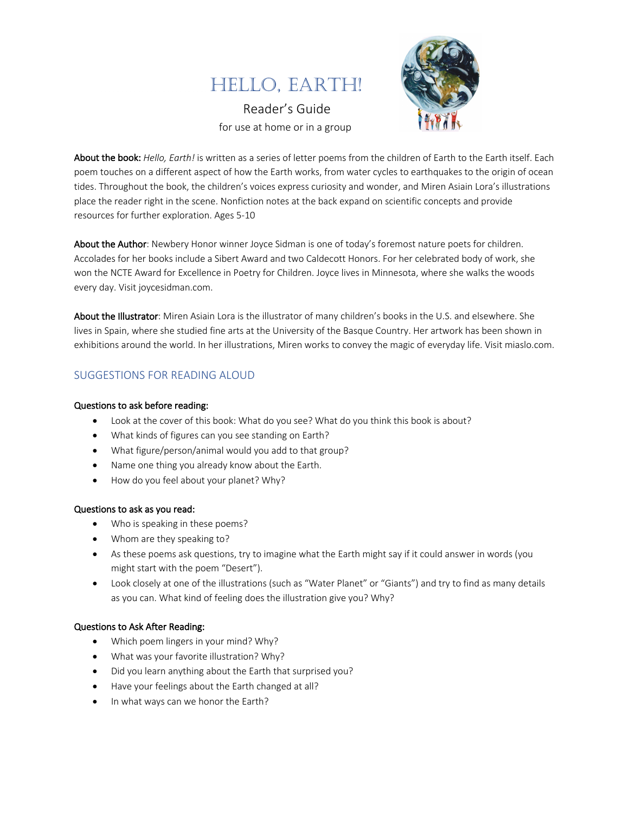

 Reader's Guide for use at home or in a group



About the book: *Hello, Earth!* is written as a series of letter poems from the children of Earth to the Earth itself. Each poem touches on a different aspect of how the Earth works, from water cycles to earthquakes to the origin of ocean tides. Throughout the book, the children's voices express curiosity and wonder, and Miren Asiain Lora's illustrations place the reader right in the scene. Nonfiction notes at the back expand on scientific concepts and provide resources for further exploration. Ages 5-10

About the Author: Newbery Honor winner Joyce Sidman is one of today's foremost nature poets for children. Accolades for her books include a Sibert Award and two Caldecott Honors. For her celebrated body of work, she won the NCTE Award for Excellence in Poetry for Children. Joyce lives in Minnesota, where she walks the woods every day. Visit joycesidman.com.

About the Illustrator: Miren Asiain Lora is the illustrator of many children's books in the U.S. and elsewhere. She lives in Spain, where she studied fine arts at the University of the Basque Country. Her artwork has been shown in exhibitions around the world. In her illustrations, Miren works to convey the magic of everyday life. Visit miaslo.com.

# SUGGESTIONS FOR READING ALOUD

#### Questions to ask before reading:

- Look at the cover of this book: What do you see? What do you think this book is about?
- What kinds of figures can you see standing on Earth?
- What figure/person/animal would you add to that group?
- Name one thing you already know about the Earth.
- How do you feel about your planet? Why?

#### Questions to ask as you read:

- Who is speaking in these poems?
- Whom are they speaking to?
- As these poems ask questions, try to imagine what the Earth might say if it could answer in words (you might start with the poem "Desert").
- Look closely at one of the illustrations (such as "Water Planet" or "Giants") and try to find as many details as you can. What kind of feeling does the illustration give you? Why?

#### Questions to Ask After Reading:

- Which poem lingers in your mind? Why?
- What was your favorite illustration? Why?
- Did you learn anything about the Earth that surprised you?
- Have your feelings about the Earth changed at all?
- In what ways can we honor the Earth?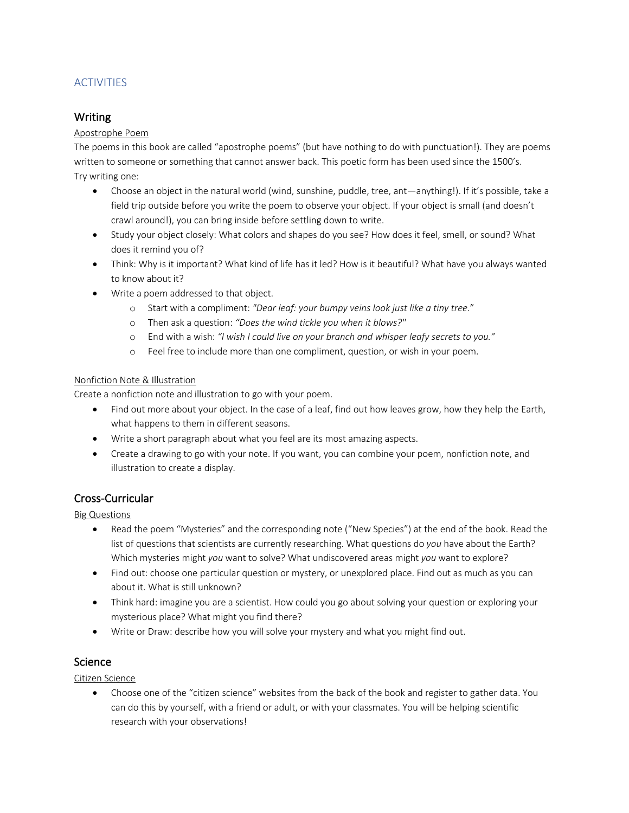# **ACTIVITIES**

# Writing

### Apostrophe Poem

The poems in this book are called "apostrophe poems" (but have nothing to do with punctuation!). They are poems written to someone or something that cannot answer back. This poetic form has been used since the 1500's. Try writing one:

- Choose an object in the natural world (wind, sunshine, puddle, tree, ant—anything!). If it's possible, take a field trip outside before you write the poem to observe your object. If your object is small (and doesn't crawl around!), you can bring inside before settling down to write.
- Study your object closely: What colors and shapes do you see? How does it feel, smell, or sound? What does it remind you of?
- Think: Why is it important? What kind of life has it led? How is it beautiful? What have you always wanted to know about it?
- Write a poem addressed to that object.
	- o Start with a compliment: *"Dear leaf: your bumpy veins look just like a tiny tree*."
	- o Then ask a question: *"Does the wind tickle you when it blows?"*
	- o End with a wish: *"I wish I could live on your branch and whisper leafy secrets to you."*
	- o Feel free to include more than one compliment, question, or wish in your poem.

### Nonfiction Note & Illustration

Create a nonfiction note and illustration to go with your poem.

- Find out more about your object. In the case of a leaf, find out how leaves grow, how they help the Earth, what happens to them in different seasons.
- Write a short paragraph about what you feel are its most amazing aspects.
- Create a drawing to go with your note. If you want, you can combine your poem, nonfiction note, and illustration to create a display.

## Cross-Curricular

Big Questions

- Read the poem "Mysteries" and the corresponding note ("New Species") at the end of the book. Read the list of questions that scientists are currently researching. What questions do *you* have about the Earth? Which mysteries might *you* want to solve? What undiscovered areas might *you* want to explore?
- Find out: choose one particular question or mystery, or unexplored place. Find out as much as you can about it. What is still unknown?
- Think hard: imagine you are a scientist. How could you go about solving your question or exploring your mysterious place? What might you find there?
- Write or Draw: describe how you will solve your mystery and what you might find out.

## **Science**

Citizen Science

• Choose one of the "citizen science" websites from the back of the book and register to gather data. You can do this by yourself, with a friend or adult, or with your classmates. You will be helping scientific research with your observations!